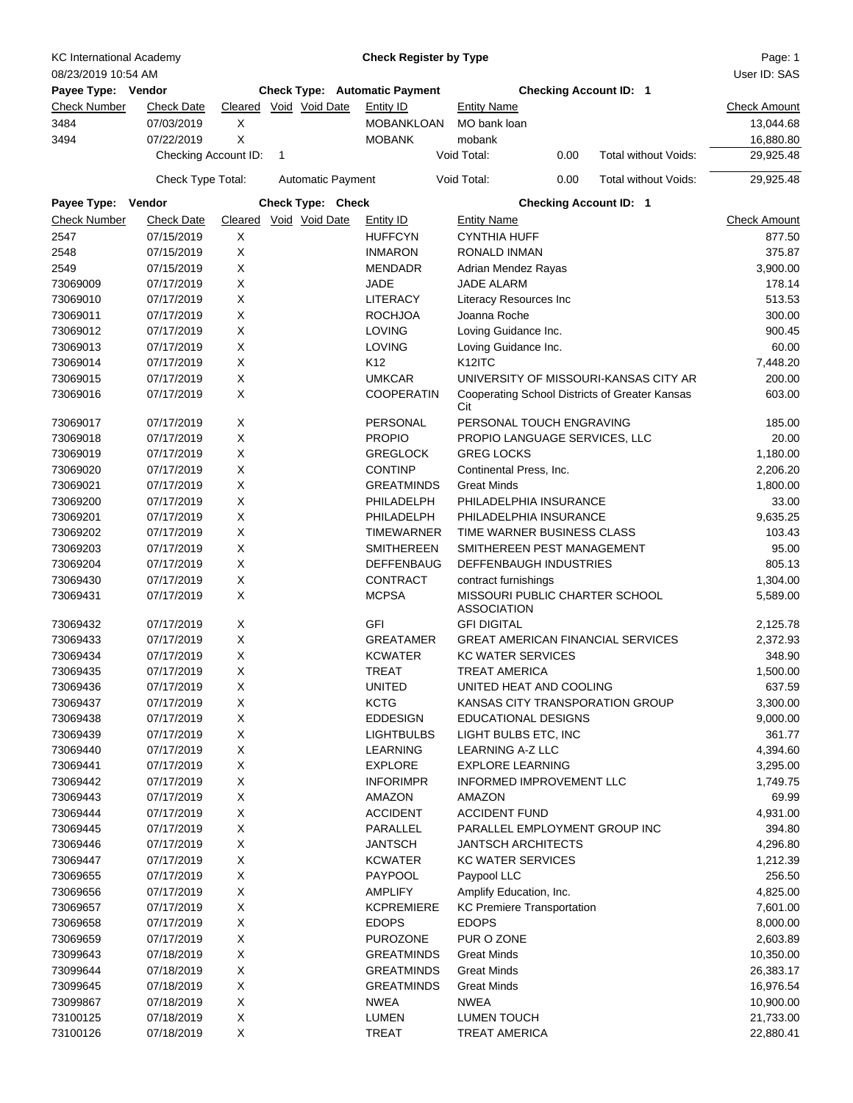| <b>KC International Academy</b> |                          |                        |   |                          | <b>Check Register by Type</b>        |                                                      |                               |      |                                                | Page: 1              |
|---------------------------------|--------------------------|------------------------|---|--------------------------|--------------------------------------|------------------------------------------------------|-------------------------------|------|------------------------------------------------|----------------------|
| 08/23/2019 10:54 AM             |                          |                        |   |                          |                                      |                                                      |                               |      |                                                | User ID: SAS         |
| Payee Type: Vendor              |                          |                        |   |                          | <b>Check Type: Automatic Payment</b> |                                                      | <b>Checking Account ID: 1</b> |      |                                                |                      |
| <b>Check Number</b>             | <b>Check Date</b>        | Cleared Void Void Date |   |                          | Entity ID                            | <b>Entity Name</b>                                   |                               |      |                                                | <b>Check Amount</b>  |
| 3484                            | 07/03/2019               | X                      |   |                          | <b>MOBANKLOAN</b>                    | MO bank loan                                         |                               |      |                                                | 13,044.68            |
| 3494                            | 07/22/2019               | X                      |   |                          | <b>MOBANK</b>                        | mobank                                               |                               |      |                                                | 16,880.80            |
|                                 | Checking Account ID:     |                        | 1 |                          |                                      | Void Total:                                          |                               | 0.00 | Total without Voids:                           | 29,925.48            |
|                                 | Check Type Total:        |                        |   | <b>Automatic Payment</b> |                                      | Void Total:                                          |                               | 0.00 | Total without Voids:                           | 29,925.48            |
| Payee Type: Vendor              |                          |                        |   | Check Type: Check        |                                      |                                                      | <b>Checking Account ID: 1</b> |      |                                                |                      |
| <b>Check Number</b>             | <b>Check Date</b>        | Cleared                |   | Void Void Date           | Entity ID                            | <b>Entity Name</b>                                   |                               |      |                                                | <b>Check Amount</b>  |
| 2547                            | 07/15/2019               | Χ                      |   |                          | <b>HUFFCYN</b>                       | <b>CYNTHIA HUFF</b>                                  |                               |      |                                                | 877.50               |
| 2548                            | 07/15/2019               | X                      |   |                          | <b>INMARON</b>                       | RONALD INMAN                                         |                               |      |                                                | 375.87               |
| 2549                            | 07/15/2019               | X                      |   |                          | <b>MENDADR</b>                       | Adrian Mendez Rayas                                  |                               |      |                                                | 3,900.00             |
| 73069009                        | 07/17/2019               | X                      |   |                          | <b>JADE</b>                          | <b>JADE ALARM</b>                                    |                               |      |                                                | 178.14               |
| 73069010                        | 07/17/2019               | X                      |   |                          | <b>LITERACY</b>                      | Literacy Resources Inc                               |                               |      |                                                | 513.53               |
| 73069011                        | 07/17/2019               | Χ                      |   |                          | <b>ROCHJOA</b>                       | Joanna Roche                                         |                               |      |                                                | 300.00               |
| 73069012                        | 07/17/2019               | X                      |   |                          | <b>LOVING</b>                        | Loving Guidance Inc.                                 |                               |      |                                                | 900.45               |
| 73069013                        | 07/17/2019               | X                      |   |                          | <b>LOVING</b>                        | Loving Guidance Inc.                                 |                               |      |                                                | 60.00                |
| 73069014                        | 07/17/2019               | X                      |   |                          | K <sub>12</sub>                      | K <sub>12</sub> ITC                                  |                               |      |                                                | 7,448.20             |
| 73069015                        | 07/17/2019               | X                      |   |                          | <b>UMKCAR</b>                        |                                                      |                               |      | UNIVERSITY OF MISSOURI-KANSAS CITY AR          | 200.00               |
| 73069016                        | 07/17/2019               | X                      |   |                          | <b>COOPERATIN</b>                    | Cit                                                  |                               |      | Cooperating School Districts of Greater Kansas | 603.00               |
| 73069017                        | 07/17/2019               | Х                      |   |                          | PERSONAL                             | PERSONAL TOUCH ENGRAVING                             |                               |      |                                                | 185.00               |
| 73069018                        | 07/17/2019               | X                      |   |                          | <b>PROPIO</b>                        | PROPIO LANGUAGE SERVICES, LLC                        |                               |      |                                                | 20.00                |
| 73069019                        | 07/17/2019               | Χ                      |   |                          | <b>GREGLOCK</b>                      | <b>GREG LOCKS</b>                                    |                               |      |                                                | 1,180.00             |
| 73069020                        | 07/17/2019               | X                      |   |                          | <b>CONTINP</b>                       | Continental Press, Inc.                              |                               |      |                                                | 2,206.20             |
| 73069021                        | 07/17/2019               | X                      |   |                          | <b>GREATMINDS</b>                    | <b>Great Minds</b>                                   |                               |      |                                                | 1,800.00             |
| 73069200                        | 07/17/2019               | X                      |   |                          | PHILADELPH                           | PHILADELPHIA INSURANCE                               |                               |      |                                                | 33.00                |
| 73069201                        | 07/17/2019               | X                      |   |                          | PHILADELPH                           | PHILADELPHIA INSURANCE                               |                               |      |                                                | 9,635.25             |
| 73069202                        | 07/17/2019               | X                      |   |                          | <b>TIMEWARNER</b>                    | TIME WARNER BUSINESS CLASS                           |                               |      |                                                | 103.43               |
| 73069203                        | 07/17/2019               | X                      |   |                          | <b>SMITHEREEN</b>                    | SMITHEREEN PEST MANAGEMENT                           |                               |      |                                                | 95.00                |
| 73069204                        | 07/17/2019               | Χ                      |   |                          | <b>DEFFENBAUG</b>                    | DEFFENBAUGH INDUSTRIES                               |                               |      |                                                | 805.13               |
| 73069430                        | 07/17/2019               | X                      |   |                          | <b>CONTRACT</b>                      | contract furnishings                                 |                               |      |                                                | 1,304.00             |
| 73069431                        | 07/17/2019               | X                      |   |                          | <b>MCPSA</b>                         | MISSOURI PUBLIC CHARTER SCHOOL<br><b>ASSOCIATION</b> |                               |      |                                                | 5,589.00             |
| 73069432                        | 07/17/2019               | Χ                      |   |                          | GFI                                  | <b>GFI DIGITAL</b>                                   |                               |      |                                                | 2,125.78             |
| 73069433                        | 07/17/2019               | X                      |   |                          | <b>GREATAMER</b>                     | <b>GREAT AMERICAN FINANCIAL SERVICES</b>             |                               |      |                                                | 2,372.93             |
| 73069434                        | 07/17/2019               | X                      |   |                          | <b>KCWATER</b>                       | <b>KC WATER SERVICES</b>                             |                               |      |                                                | 348.90               |
| 73069435                        | 07/17/2019               | X                      |   |                          | TREAT                                | <b>TREAT AMERICA</b>                                 |                               |      |                                                | 1,500.00             |
| 73069436                        | 07/17/2019               | х                      |   |                          | <b>UNITED</b>                        | UNITED HEAT AND COOLING                              |                               |      |                                                | 637.59               |
| 73069437                        | 07/17/2019               | X                      |   |                          | <b>KCTG</b>                          | KANSAS CITY TRANSPORATION GROUP                      |                               |      |                                                | 3,300.00             |
| 73069438                        | 07/17/2019               | X                      |   |                          | <b>EDDESIGN</b>                      | <b>EDUCATIONAL DESIGNS</b>                           |                               |      |                                                | 9,000.00             |
| 73069439                        | 07/17/2019               | X                      |   |                          | <b>LIGHTBULBS</b>                    | LIGHT BULBS ETC, INC                                 |                               |      |                                                | 361.77               |
| 73069440                        | 07/17/2019               | X                      |   |                          | <b>LEARNING</b>                      | <b>LEARNING A-Z LLC</b>                              |                               |      |                                                | 4,394.60             |
| 73069441                        | 07/17/2019               | X                      |   |                          | <b>EXPLORE</b>                       | <b>EXPLORE LEARNING</b>                              |                               |      |                                                | 3,295.00             |
| 73069442                        | 07/17/2019<br>07/17/2019 | Χ                      |   |                          | <b>INFORIMPR</b>                     | INFORMED IMPROVEMENT LLC                             |                               |      |                                                | 1,749.75             |
| 73069443<br>73069444            | 07/17/2019               | X                      |   |                          | AMAZON<br><b>ACCIDENT</b>            | AMAZON<br><b>ACCIDENT FUND</b>                       |                               |      |                                                | 69.99                |
|                                 |                          | X                      |   |                          |                                      |                                                      |                               |      |                                                | 4,931.00             |
| 73069445                        | 07/17/2019               | Χ<br>X                 |   |                          | PARALLEL                             | PARALLEL EMPLOYMENT GROUP INC<br>JANTSCH ARCHITECTS  |                               |      |                                                | 394.80               |
| 73069446<br>73069447            | 07/17/2019<br>07/17/2019 | X                      |   |                          | <b>JANTSCH</b><br><b>KCWATER</b>     | <b>KC WATER SERVICES</b>                             |                               |      |                                                | 4,296.80<br>1,212.39 |
| 73069655                        | 07/17/2019               | X                      |   |                          | <b>PAYPOOL</b>                       | Paypool LLC                                          |                               |      |                                                | 256.50               |
| 73069656                        | 07/17/2019               | X                      |   |                          | <b>AMPLIFY</b>                       | Amplify Education, Inc.                              |                               |      |                                                | 4,825.00             |
| 73069657                        | 07/17/2019               | X                      |   |                          | <b>KCPREMIERE</b>                    | <b>KC Premiere Transportation</b>                    |                               |      |                                                | 7,601.00             |
| 73069658                        | 07/17/2019               | Χ                      |   |                          | <b>EDOPS</b>                         | <b>EDOPS</b>                                         |                               |      |                                                | 8,000.00             |
| 73069659                        | 07/17/2019               | X                      |   |                          | <b>PUROZONE</b>                      | PUR O ZONE                                           |                               |      |                                                | 2,603.89             |
| 73099643                        | 07/18/2019               | X                      |   |                          | <b>GREATMINDS</b>                    | <b>Great Minds</b>                                   |                               |      |                                                | 10,350.00            |
| 73099644                        | 07/18/2019               | X                      |   |                          | <b>GREATMINDS</b>                    | <b>Great Minds</b>                                   |                               |      |                                                | 26,383.17            |
| 73099645                        | 07/18/2019               | Χ                      |   |                          | <b>GREATMINDS</b>                    | <b>Great Minds</b>                                   |                               |      |                                                | 16,976.54            |
| 73099867                        | 07/18/2019               | X                      |   |                          | <b>NWEA</b>                          | <b>NWEA</b>                                          |                               |      |                                                | 10,900.00            |
| 73100125                        | 07/18/2019               | X                      |   |                          | <b>LUMEN</b>                         | <b>LUMEN TOUCH</b>                                   |                               |      |                                                | 21,733.00            |
| 73100126                        | 07/18/2019               | X                      |   |                          | <b>TREAT</b>                         | <b>TREAT AMERICA</b>                                 |                               |      |                                                | 22,880.41            |